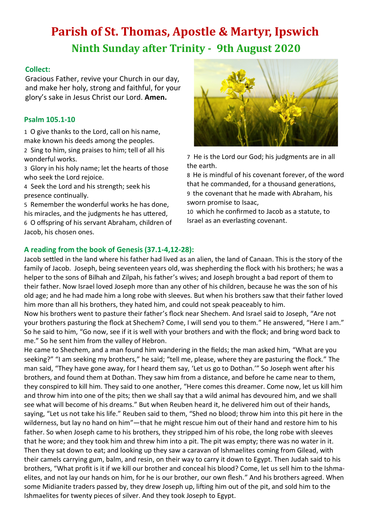# **Parish of St. Thomas, Apostle & Martyr, Ipswich Ninth Sunday after Trinity - 9th August 2020**

# **Collect:**

Gracious Father, revive your Church in our day, and make her holy, strong and faithful, for your glory's sake in Jesus Christ our Lord. **Amen.**

# **Psalm 105.1-10**

1 O give thanks to the Lord, call on his name, make known his deeds among the peoples. 2 Sing to him, sing praises to him; tell of all his wonderful works.

3 Glory in his holy name; let the hearts of those who seek the Lord rejoice.

4 Seek the Lord and his strength; seek his presence continually.

5 Remember the wonderful works he has done, his miracles, and the judgments he has uttered, 6 O offspring of his servant Abraham, children of Jacob, his chosen ones.



7 He is the Lord our God; his judgments are in all the earth.

8 He is mindful of his covenant forever, of the word that he commanded, for a thousand generations, 9 the covenant that he made with Abraham, his sworn promise to Isaac,

10 which he confirmed to Jacob as a statute, to Israel as an everlasting covenant.

# **A reading from the book of Genesis (37.1-4,12-28):**

Jacob settled in the land where his father had lived as an alien, the land of Canaan. This is the story of the family of Jacob. Joseph, being seventeen years old, was shepherding the flock with his brothers; he was a helper to the sons of Bilhah and Zilpah, his father's wives; and Joseph brought a bad report of them to their father. Now Israel loved Joseph more than any other of his children, because he was the son of his old age; and he had made him a long robe with sleeves. But when his brothers saw that their father loved him more than all his brothers, they hated him, and could not speak peaceably to him.

Now his brothers went to pasture their father's flock near Shechem. And Israel said to Joseph, "Are not your brothers pasturing the flock at Shechem? Come, I will send you to them." He answered, "Here I am." So he said to him, "Go now, see if it is well with your brothers and with the flock; and bring word back to me." So he sent him from the valley of Hebron.

He came to Shechem, and a man found him wandering in the fields; the man asked him, "What are you seeking?" "I am seeking my brothers," he said; "tell me, please, where they are pasturing the flock." The man said, "They have gone away, for I heard them say, 'Let us go to Dothan.'" So Joseph went after his brothers, and found them at Dothan. They saw him from a distance, and before he came near to them, they conspired to kill him. They said to one another, "Here comes this dreamer. Come now, let us kill him and throw him into one of the pits; then we shall say that a wild animal has devoured him, and we shall see what will become of his dreams." But when Reuben heard it, he delivered him out of their hands, saying, "Let us not take his life." Reuben said to them, "Shed no blood; throw him into this pit here in the wilderness, but lay no hand on him"—that he might rescue him out of their hand and restore him to his father. So when Joseph came to his brothers, they stripped him of his robe, the long robe with sleeves that he wore; and they took him and threw him into a pit. The pit was empty; there was no water in it. Then they sat down to eat; and looking up they saw a caravan of Ishmaelites coming from Gilead, with their camels carrying gum, balm, and resin, on their way to carry it down to Egypt. Then Judah said to his brothers, "What profit is it if we kill our brother and conceal his blood? Come, let us sell him to the Ishmaelites, and not lay our hands on him, for he is our brother, our own flesh." And his brothers agreed. When some Midianite traders passed by, they drew Joseph up, lifting him out of the pit, and sold him to the Ishmaelites for twenty pieces of silver. And they took Joseph to Egypt.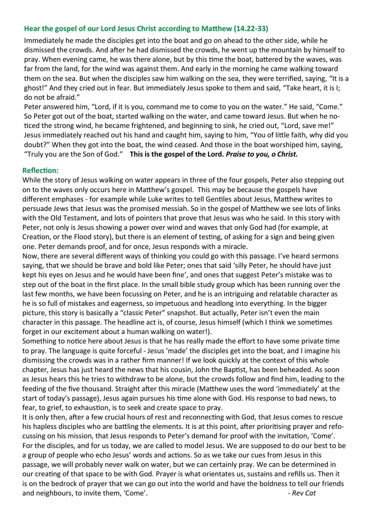# **Hear the gospel of our Lord Jesus Christ according to Matthew (14.22-33)**

Immediately he made the disciples get into the boat and go on ahead to the other side, while he dismissed the crowds. And after he had dismissed the crowds, he went up the mountain by himself to pray. When evening came, he was there alone, but by this time the boat, battered by the waves, was far from the land, for the wind was against them. And early in the morning he came walking toward them on the sea. But when the disciples saw him walking on the sea, they were terrified, saying, "It is a ghost!" And they cried out in fear. But immediately Jesus spoke to them and said, "Take heart, it is I; do not be afraid."

Peter answered him, "Lord, if it is you, command me to come to you on the water." He said, "Come." So Peter got out of the boat, started walking on the water, and came toward Jesus. But when he noticed the strong wind, he became frightened, and beginning to sink, he cried out, "Lord, save me!" Jesus immediately reached out his hand and caught him, saying to him, "You of little faith, why did you doubt?" When they got into the boat, the wind ceased. And those in the boat worshiped him, saying, "Truly you are the Son of God." **This is the gospel of the Lord.** *Praise to you, o Christ.*

### **Reflection:**

While the story of Jesus walking on water appears in three of the four gospels, Peter also stepping out on to the waves only occurs here in Matthew's gospel. This may be because the gospels have different emphases - for example while Luke writes to tell Gentiles about Jesus, Matthew writes to persuade Jews that Jesus was the promised messiah. So in the gospel of Matthew we see lots of links with the Old Testament, and lots of pointers that prove that Jesus was who he said. In this story with Peter, not only is Jesus showing a power over wind and waves that only God had (for example, at Creation, or the Flood story), but there is an element of testing, of asking for a sign and being given one. Peter demands proof, and for once, Jesus responds with a miracle.

Now, there are several different ways of thinking you could go with this passage. I've heard sermons saying, that we should be brave and bold like Peter; ones that said 'silly Peter, he should have just kept his eyes on Jesus and he would have been fine', and ones that suggest Peter's mistake was to step out of the boat in the first place. In the small bible study group which has been running over the last few months, we have been focussing on Peter, and he is an intriguing and relatable character as he is so full of mistakes and eagerness, so impetuous and headlong into everything. In the bigger picture, this story is basically a "classic Peter" snapshot. But actually, Peter isn't even the main character in this passage. The headline act is, of course, Jesus himself (which I think we sometimes forget in our excitement about a human walking on water!).

Something to notice here about Jesus is that he has really made the effort to have some private time to pray. The language is quite forceful - Jesus 'made' the disciples get into the boat, and I imagine his dismissing the crowds was in a rather firm manner! If we look quickly at the context of this whole chapter, Jesus has just heard the news that his cousin, John the Baptist, has been beheaded. As soon as Jesus hears this he tries to withdraw to be alone, but the crowds follow and find him, leading to the feeding of the five thousand. Straight after this miracle (Matthew uses the word 'immediately' at the start of today's passage), Jesus again pursues his time alone with God. His response to bad news, to fear, to grief, to exhaustion, is to seek and create space to pray.

It is only then, after a few crucial hours of rest and reconnecting with God, that Jesus comes to rescue his hapless disciples who are battling the elements. It is at this point, after prioritising prayer and refocussing on his mission, that Jesus responds to Peter's demand for proof with the invitation, 'Come'. For the disciples, and for us today, we are called to model Jesus. We are supposed to do our best to be a group of people who echo Jesus' words and actions. So as we take our cues from Jesus in this passage, we will probably never walk on water, but we can certainly pray. We can be determined in our creating of that space to be with God. Prayer is what orientates us, sustains and refills us. Then it is on the bedrock of prayer that we can go out into the world and have the boldness to tell our friends and neighbours, to invite them, 'Come'. *and neighbours, to invite them, 'Come'*.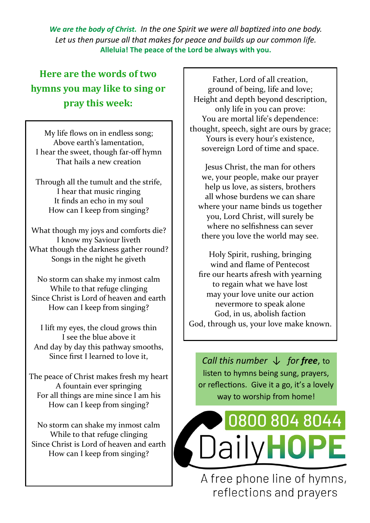*We are the body of Christ. In the one Spirit we were all baptized into one body. Let us then pursue all that makes for peace and builds up our common life.*  **Alleluia! The peace of the Lord be always with you.**

# **Here are the words of two hymns you may like to sing or pray this week:**

My life flows on in endless song; Above earth's lamentation, I hear the sweet, though far-off hymn That hails a new creation

Through all the tumult and the strife, I hear that music ringing It finds an echo in my soul How can I keep from singing?

What though my joys and comforts die? I know my Saviour liveth What though the darkness gather round? Songs in the night he giveth

No storm can shake my inmost calm While to that refuge clinging Since Christ is Lord of heaven and earth How can I keep from singing?

I lift my eyes, the cloud grows thin I see the blue above it And day by day this pathway smooths, Since first I learned to love it,

The peace of Christ makes fresh my heart A fountain ever springing For all things are mine since I am his How can I keep from singing?

No storm can shake my inmost calm While to that refuge clinging Since Christ is Lord of heaven and earth How can I keep from singing?

Father, Lord of all creation, ground of being, life and love; Height and depth beyond description, only life in you can prove: You are mortal life's dependence: thought, speech, sight are ours by grace; Yours is every hour's existence, sovereign Lord of time and space.

Jesus Christ, the man for others we, your people, make our prayer help us love, as sisters, brothers all whose burdens we can share where your name binds us together you, Lord Christ, will surely be where no selfishness can sever there you love the world may see.

Holy Spirit, rushing, bringing wind and flame of Pentecost fire our hearts afresh with yearning to regain what we have lost may your love unite our action nevermore to speak alone God, in us, abolish faction God, through us, your love make known.

*Call this number* ↓ *for free*, to listen to hymns being sung, prayers, or reflections. Give it a go, it's a lovely way to worship from home!



A free phone line of hymns, reflections and prayers